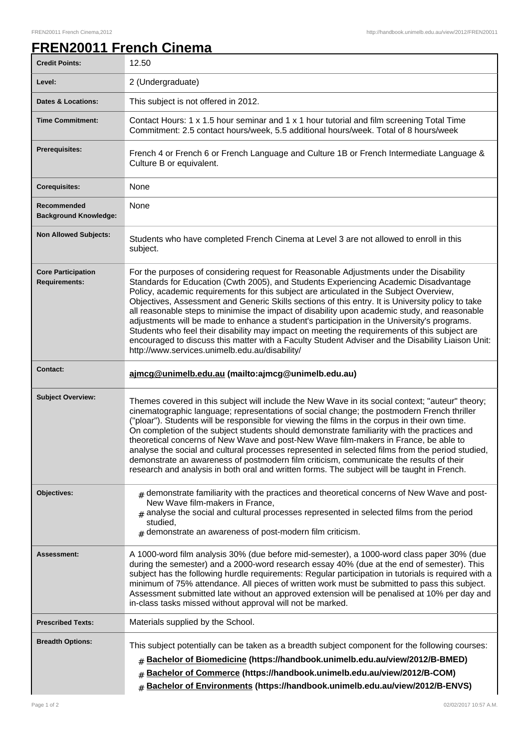## **FREN20011 French Cinema**

| <b>Credit Points:</b>                             | 12.50                                                                                                                                                                                                                                                                                                                                                                                                                                                                                                                                                                                                                                                                                                                                                                                                                                   |
|---------------------------------------------------|-----------------------------------------------------------------------------------------------------------------------------------------------------------------------------------------------------------------------------------------------------------------------------------------------------------------------------------------------------------------------------------------------------------------------------------------------------------------------------------------------------------------------------------------------------------------------------------------------------------------------------------------------------------------------------------------------------------------------------------------------------------------------------------------------------------------------------------------|
| Level:                                            | 2 (Undergraduate)                                                                                                                                                                                                                                                                                                                                                                                                                                                                                                                                                                                                                                                                                                                                                                                                                       |
| <b>Dates &amp; Locations:</b>                     | This subject is not offered in 2012.                                                                                                                                                                                                                                                                                                                                                                                                                                                                                                                                                                                                                                                                                                                                                                                                    |
| <b>Time Commitment:</b>                           | Contact Hours: 1 x 1.5 hour seminar and 1 x 1 hour tutorial and film screening Total Time<br>Commitment: 2.5 contact hours/week, 5.5 additional hours/week. Total of 8 hours/week                                                                                                                                                                                                                                                                                                                                                                                                                                                                                                                                                                                                                                                       |
| <b>Prerequisites:</b>                             | French 4 or French 6 or French Language and Culture 1B or French Intermediate Language &<br>Culture B or equivalent.                                                                                                                                                                                                                                                                                                                                                                                                                                                                                                                                                                                                                                                                                                                    |
| <b>Corequisites:</b>                              | None                                                                                                                                                                                                                                                                                                                                                                                                                                                                                                                                                                                                                                                                                                                                                                                                                                    |
| Recommended<br><b>Background Knowledge:</b>       | None                                                                                                                                                                                                                                                                                                                                                                                                                                                                                                                                                                                                                                                                                                                                                                                                                                    |
| <b>Non Allowed Subjects:</b>                      | Students who have completed French Cinema at Level 3 are not allowed to enroll in this<br>subject.                                                                                                                                                                                                                                                                                                                                                                                                                                                                                                                                                                                                                                                                                                                                      |
| <b>Core Participation</b><br><b>Requirements:</b> | For the purposes of considering request for Reasonable Adjustments under the Disability<br>Standards for Education (Cwth 2005), and Students Experiencing Academic Disadvantage<br>Policy, academic requirements for this subject are articulated in the Subject Overview,<br>Objectives, Assessment and Generic Skills sections of this entry. It is University policy to take<br>all reasonable steps to minimise the impact of disability upon academic study, and reasonable<br>adjustments will be made to enhance a student's participation in the University's programs.<br>Students who feel their disability may impact on meeting the requirements of this subject are<br>encouraged to discuss this matter with a Faculty Student Adviser and the Disability Liaison Unit:<br>http://www.services.unimelb.edu.au/disability/ |
| <b>Contact:</b>                                   | ajmcg@unimelb.edu.au (mailto:ajmcg@unimelb.edu.au)                                                                                                                                                                                                                                                                                                                                                                                                                                                                                                                                                                                                                                                                                                                                                                                      |
| <b>Subject Overview:</b>                          | Themes covered in this subject will include the New Wave in its social context; "auteur" theory;<br>cinematographic language; representations of social change; the postmodern French thriller<br>("ploar"). Students will be responsible for viewing the films in the corpus in their own time.<br>On completion of the subject students should demonstrate familiarity with the practices and<br>theoretical concerns of New Wave and post-New Wave film-makers in France, be able to<br>analyse the social and cultural processes represented in selected films from the period studied,<br>demonstrate an awareness of postmodern film criticism, communicate the results of their<br>research and analysis in both oral and written forms. The subject will be taught in French.                                                   |
| Objectives:                                       | $_{\text{\#}}$ demonstrate familiarity with the practices and theoretical concerns of New Wave and post-<br>New Wave film-makers in France,<br>$#$ analyse the social and cultural processes represented in selected films from the period<br>studied,<br>$#$ demonstrate an awareness of post-modern film criticism.                                                                                                                                                                                                                                                                                                                                                                                                                                                                                                                   |
| Assessment:                                       | A 1000-word film analysis 30% (due before mid-semester), a 1000-word class paper 30% (due<br>during the semester) and a 2000-word research essay 40% (due at the end of semester). This<br>subject has the following hurdle requirements: Regular participation in tutorials is required with a<br>minimum of 75% attendance. All pieces of written work must be submitted to pass this subject.<br>Assessment submitted late without an approved extension will be penalised at 10% per day and<br>in-class tasks missed without approval will not be marked.                                                                                                                                                                                                                                                                          |
| <b>Prescribed Texts:</b>                          | Materials supplied by the School.                                                                                                                                                                                                                                                                                                                                                                                                                                                                                                                                                                                                                                                                                                                                                                                                       |
| <b>Breadth Options:</b>                           | This subject potentially can be taken as a breadth subject component for the following courses:<br>Bachelor of Biomedicine (https://handbook.unimelb.edu.au/view/2012/B-BMED)<br>$\sharp$<br>Bachelor of Commerce (https://handbook.unimelb.edu.au/view/2012/B-COM)<br>#<br>Bachelor of Environments (https://handbook.unimelb.edu.au/view/2012/B-ENVS)<br>#                                                                                                                                                                                                                                                                                                                                                                                                                                                                            |